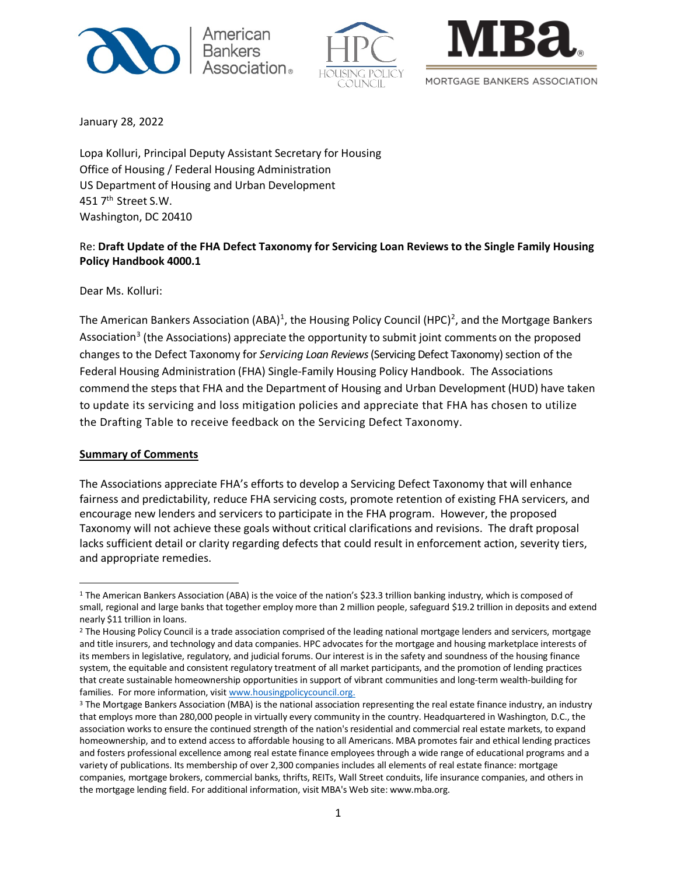





January 28, 2022

Lopa Kolluri, Principal Deputy Assistant Secretary for Housing Office of Housing / Federal Housing Administration US Department of Housing and Urban Development 451 7<sup>th</sup> Street S.W. Washington, DC 20410

## Re: **Draft Update of the FHA Defect Taxonomy for Servicing Loan Reviews to the Single Family Housing Policy Handbook 4000.1**

Dear Ms. Kolluri:

The American Bankers Association (ABA)<sup>[1](#page-0-0)</sup>, the Housing Policy Council (HPC)<sup>[2](#page-0-1)</sup>, and the Mortgage Bankers Association<sup>[3](#page-0-2)</sup> (the Associations) appreciate the opportunity to submit joint comments on the proposed changes to the Defect Taxonomy for *Servicing Loan Reviews* (Servicing Defect Taxonomy) section of the Federal Housing Administration (FHA) Single-Family Housing Policy Handbook. The Associations commend the steps that FHA and the Department of Housing and Urban Development (HUD) have taken to update its servicing and loss mitigation policies and appreciate that FHA has chosen to utilize the Drafting Table to receive feedback on the Servicing Defect Taxonomy.

### **Summary of Comments**

The Associations appreciate FHA's efforts to develop a Servicing Defect Taxonomy that will enhance fairness and predictability, reduce FHA servicing costs, promote retention of existing FHA servicers, and encourage new lenders and servicers to participate in the FHA program. However, the proposed Taxonomy will not achieve these goals without critical clarifications and revisions. The draft proposal lacks sufficient detail or clarity regarding defects that could result in enforcement action, severity tiers, and appropriate remedies.

<span id="page-0-0"></span><sup>1</sup> The American Bankers Association (ABA) is the voice of the nation's \$23.3 trillion banking industry, which is composed of small, regional and large banks that together employ more than 2 million people, safeguard \$19.2 trillion in deposits and extend nearly \$11 trillion in loans.

<span id="page-0-1"></span><sup>&</sup>lt;sup>2</sup> The Housing Policy Council is a trade association comprised of the leading national mortgage lenders and servicers, mortgage and title insurers, and technology and data companies. HPC advocates for the mortgage and housing marketplace interests of its members in legislative, regulatory, and judicial forums. Our interest is in the safety and soundness of the housing finance system, the equitable and consistent regulatory treatment of all market participants, and the promotion of lending practices that create sustainable homeownership opportunities in support of vibrant communities and long-term wealth-building for families. For more information, visi[t www.housingpolicycouncil.org.](http://www.housingpolicycouncil.org/)

<span id="page-0-2"></span><sup>&</sup>lt;sup>3</sup> The Mortgage Bankers Association (MBA) is the national association representing the real estate finance industry, an industry that employs more than 280,000 people in virtually every community in the country. Headquartered in Washington, D.C., the association works to ensure the continued strength of the nation's residential and commercial real estate markets, to expand homeownership, and to extend access to affordable housing to all Americans. MBA promotes fair and ethical lending practices and fosters professional excellence among real estate finance employees through a wide range of educational programs and a variety of publications. Its membership of over 2,300 companies includes all elements of real estate finance: mortgage companies, mortgage brokers, commercial banks, thrifts, REITs, Wall Street conduits, life insurance companies, and others in the mortgage lending field. For additional information, visit MBA's Web site: www.mba.org.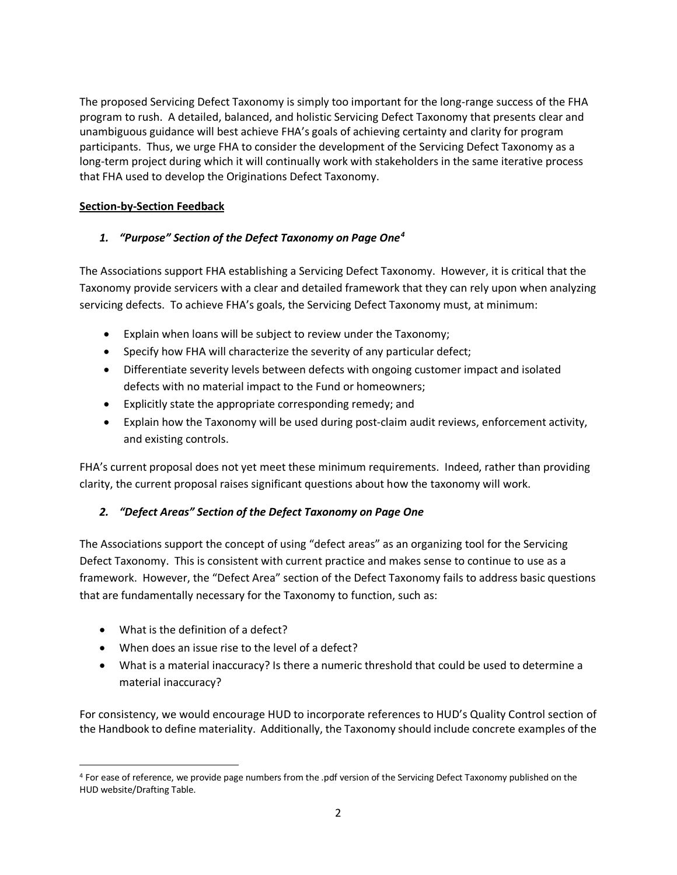The proposed Servicing Defect Taxonomy is simply too important for the long-range success of the FHA program to rush. A detailed, balanced, and holistic Servicing Defect Taxonomy that presents clear and unambiguous guidance will best achieve FHA's goals of achieving certainty and clarity for program participants. Thus, we urge FHA to consider the development of the Servicing Defect Taxonomy as a long-term project during which it will continually work with stakeholders in the same iterative process that FHA used to develop the Originations Defect Taxonomy.

## **Section-by-Section Feedback**

# *1. "Purpose" Section of the Defect Taxonomy on Page One[4](#page-1-0)*

The Associations support FHA establishing a Servicing Defect Taxonomy. However, it is critical that the Taxonomy provide servicers with a clear and detailed framework that they can rely upon when analyzing servicing defects. To achieve FHA's goals, the Servicing Defect Taxonomy must, at minimum:

- Explain when loans will be subject to review under the Taxonomy;
- Specify how FHA will characterize the severity of any particular defect;
- Differentiate severity levels between defects with ongoing customer impact and isolated defects with no material impact to the Fund or homeowners;
- Explicitly state the appropriate corresponding remedy; and
- Explain how the Taxonomy will be used during post-claim audit reviews, enforcement activity, and existing controls.

FHA's current proposal does not yet meet these minimum requirements. Indeed, rather than providing clarity, the current proposal raises significant questions about how the taxonomy will work.

### *2. "Defect Areas" Section of the Defect Taxonomy on Page One*

The Associations support the concept of using "defect areas" as an organizing tool for the Servicing Defect Taxonomy. This is consistent with current practice and makes sense to continue to use as a framework. However, the "Defect Area" section of the Defect Taxonomy fails to address basic questions that are fundamentally necessary for the Taxonomy to function, such as:

- What is the definition of a defect?
- When does an issue rise to the level of a defect?
- What is a material inaccuracy? Is there a numeric threshold that could be used to determine a material inaccuracy?

For consistency, we would encourage HUD to incorporate references to HUD's Quality Control section of the Handbook to define materiality. Additionally, the Taxonomy should include concrete examples of the

<span id="page-1-0"></span><sup>4</sup> For ease of reference, we provide page numbers from the .pdf version of the Servicing Defect Taxonomy published on the HUD website/Drafting Table.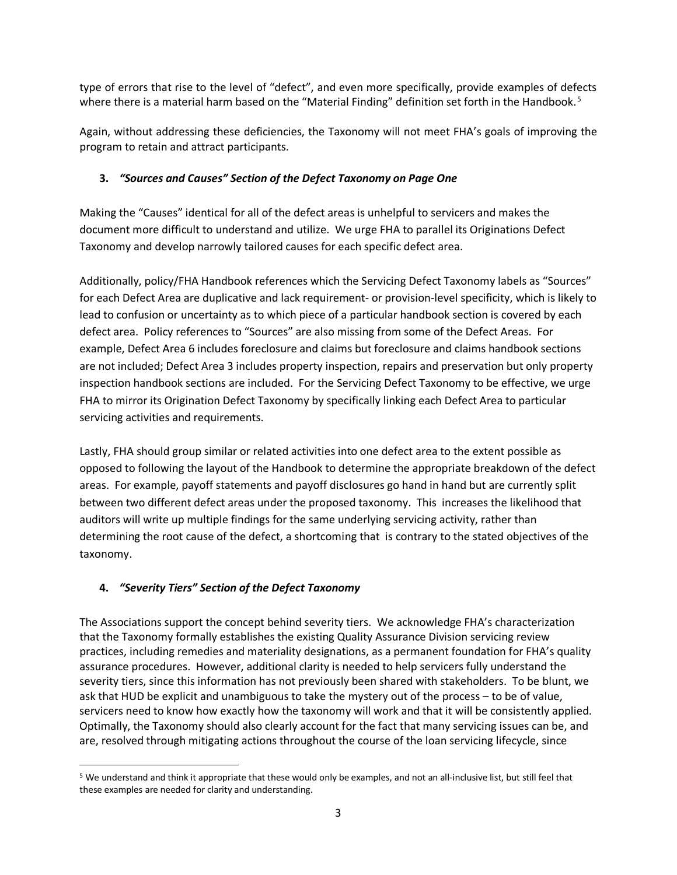type of errors that rise to the level of "defect", and even more specifically, provide examples of defects where there is a material harm based on the "Material Finding" definition set forth in the Handbook.<sup>[5](#page-2-0)</sup>

Again, without addressing these deficiencies, the Taxonomy will not meet FHA's goals of improving the program to retain and attract participants.

## **3.** *"Sources and Causes" Section of the Defect Taxonomy on Page One*

Making the "Causes" identical for all of the defect areas is unhelpful to servicers and makes the document more difficult to understand and utilize. We urge FHA to parallel its Originations Defect Taxonomy and develop narrowly tailored causes for each specific defect area.

Additionally, policy/FHA Handbook references which the Servicing Defect Taxonomy labels as "Sources" for each Defect Area are duplicative and lack requirement- or provision-level specificity, which is likely to lead to confusion or uncertainty as to which piece of a particular handbook section is covered by each defect area. Policy references to "Sources" are also missing from some of the Defect Areas. For example, Defect Area 6 includes foreclosure and claims but foreclosure and claims handbook sections are not included; Defect Area 3 includes property inspection, repairs and preservation but only property inspection handbook sections are included. For the Servicing Defect Taxonomy to be effective, we urge FHA to mirror its Origination Defect Taxonomy by specifically linking each Defect Area to particular servicing activities and requirements.

Lastly, FHA should group similar or related activities into one defect area to the extent possible as opposed to following the layout of the Handbook to determine the appropriate breakdown of the defect areas. For example, payoff statements and payoff disclosures go hand in hand but are currently split between two different defect areas under the proposed taxonomy. This increases the likelihood that auditors will write up multiple findings for the same underlying servicing activity, rather than determining the root cause of the defect, a shortcoming that is contrary to the stated objectives of the taxonomy.

# **4.** *"Severity Tiers" Section of the Defect Taxonomy*

The Associations support the concept behind severity tiers. We acknowledge FHA's characterization that the Taxonomy formally establishes the existing Quality Assurance Division servicing review practices, including remedies and materiality designations, as a permanent foundation for FHA's quality assurance procedures. However, additional clarity is needed to help servicers fully understand the severity tiers, since this information has not previously been shared with stakeholders. To be blunt, we ask that HUD be explicit and unambiguous to take the mystery out of the process – to be of value, servicers need to know how exactly how the taxonomy will work and that it will be consistently applied. Optimally, the Taxonomy should also clearly account for the fact that many servicing issues can be, and are, resolved through mitigating actions throughout the course of the loan servicing lifecycle, since

<span id="page-2-0"></span><sup>5</sup> We understand and think it appropriate that these would only be examples, and not an all-inclusive list, but still feel that these examples are needed for clarity and understanding.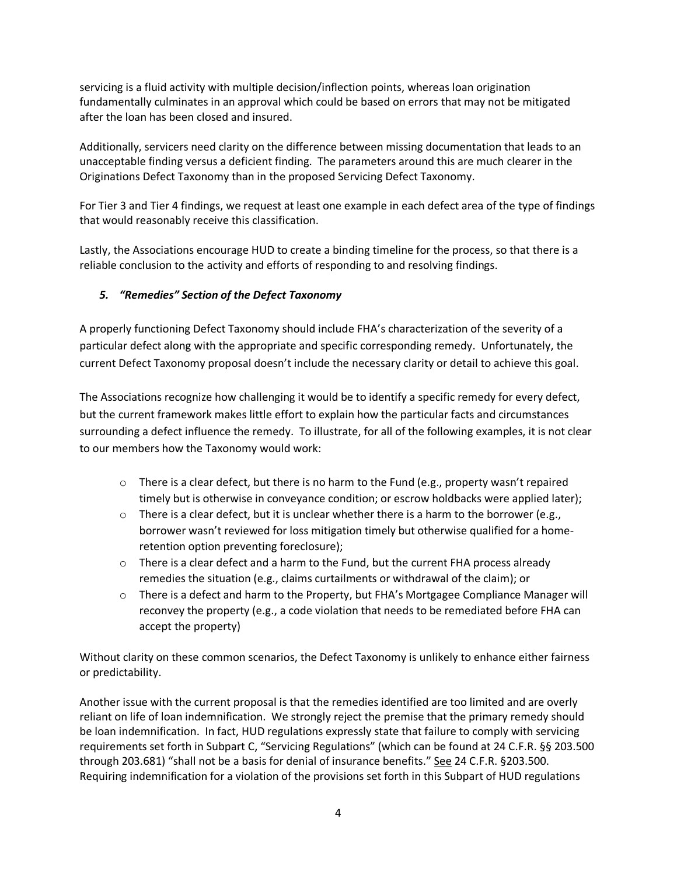servicing is a fluid activity with multiple decision/inflection points, whereas loan origination fundamentally culminates in an approval which could be based on errors that may not be mitigated after the loan has been closed and insured.

Additionally, servicers need clarity on the difference between missing documentation that leads to an unacceptable finding versus a deficient finding. The parameters around this are much clearer in the Originations Defect Taxonomy than in the proposed Servicing Defect Taxonomy.

For Tier 3 and Tier 4 findings, we request at least one example in each defect area of the type of findings that would reasonably receive this classification.

Lastly, the Associations encourage HUD to create a binding timeline for the process, so that there is a reliable conclusion to the activity and efforts of responding to and resolving findings.

## *5. "Remedies" Section of the Defect Taxonomy*

A properly functioning Defect Taxonomy should include FHA's characterization of the severity of a particular defect along with the appropriate and specific corresponding remedy. Unfortunately, the current Defect Taxonomy proposal doesn't include the necessary clarity or detail to achieve this goal.

The Associations recognize how challenging it would be to identify a specific remedy for every defect, but the current framework makes little effort to explain how the particular facts and circumstances surrounding a defect influence the remedy. To illustrate, for all of the following examples, it is not clear to our members how the Taxonomy would work:

- o There is a clear defect, but there is no harm to the Fund (e.g., property wasn't repaired timely but is otherwise in conveyance condition; or escrow holdbacks were applied later);
- $\circ$  There is a clear defect, but it is unclear whether there is a harm to the borrower (e.g., borrower wasn't reviewed for loss mitigation timely but otherwise qualified for a homeretention option preventing foreclosure);
- $\circ$  There is a clear defect and a harm to the Fund, but the current FHA process already remedies the situation (e.g., claims curtailments or withdrawal of the claim); or
- o There is a defect and harm to the Property, but FHA's Mortgagee Compliance Manager will reconvey the property (e.g., a code violation that needs to be remediated before FHA can accept the property)

Without clarity on these common scenarios, the Defect Taxonomy is unlikely to enhance either fairness or predictability.

Another issue with the current proposal is that the remedies identified are too limited and are overly reliant on life of loan indemnification. We strongly reject the premise that the primary remedy should be loan indemnification. In fact, HUD regulations expressly state that failure to comply with servicing requirements set forth in Subpart C, "Servicing Regulations" (which can be found at 24 C.F.R. §§ 203.500 through 203.681) "shall not be a basis for denial of insurance benefits." See 24 C.F.R. §203.500. Requiring indemnification for a violation of the provisions set forth in this Subpart of HUD regulations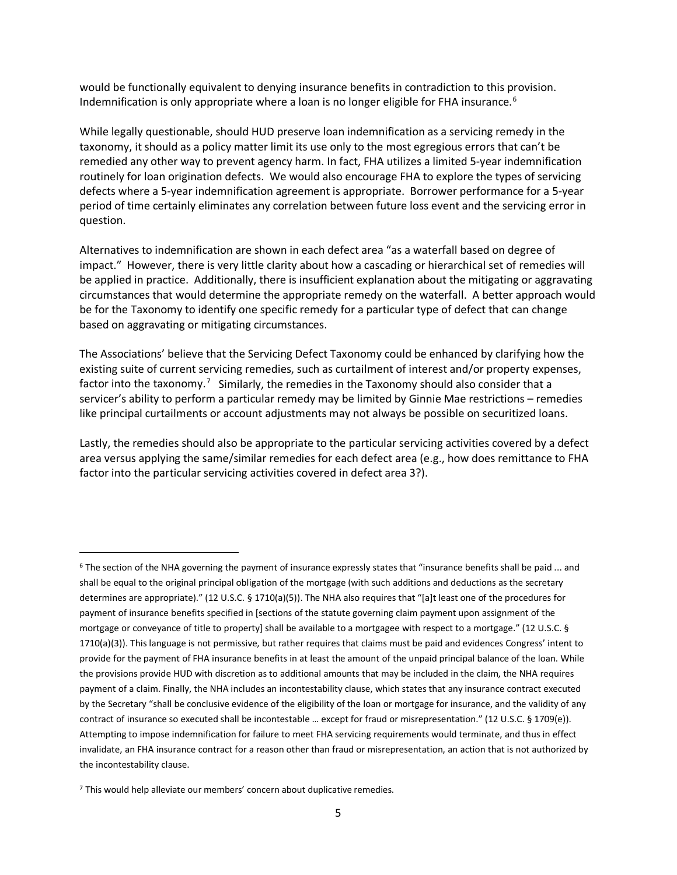would be functionally equivalent to denying insurance benefits in contradiction to this provision. Indemnification is only appropriate where a loan is no longer eligible for FHA insurance.<sup>[6](#page-4-0)</sup>

While legally questionable, should HUD preserve loan indemnification as a servicing remedy in the taxonomy, it should as a policy matter limit its use only to the most egregious errors that can't be remedied any other way to prevent agency harm. In fact, FHA utilizes a limited 5-year indemnification routinely for loan origination defects. We would also encourage FHA to explore the types of servicing defects where a 5-year indemnification agreement is appropriate. Borrower performance for a 5-year period of time certainly eliminates any correlation between future loss event and the servicing error in question.

Alternatives to indemnification are shown in each defect area "as a waterfall based on degree of impact." However, there is very little clarity about how a cascading or hierarchical set of remedies will be applied in practice. Additionally, there is insufficient explanation about the mitigating or aggravating circumstances that would determine the appropriate remedy on the waterfall. A better approach would be for the Taxonomy to identify one specific remedy for a particular type of defect that can change based on aggravating or mitigating circumstances.

The Associations' believe that the Servicing Defect Taxonomy could be enhanced by clarifying how the existing suite of current servicing remedies, such as curtailment of interest and/or property expenses, factor into the taxonomy.<sup>[7](#page-4-1)</sup> Similarly, the remedies in the Taxonomy should also consider that a servicer's ability to perform a particular remedy may be limited by Ginnie Mae restrictions – remedies like principal curtailments or account adjustments may not always be possible on securitized loans.

Lastly, the remedies should also be appropriate to the particular servicing activities covered by a defect area versus applying the same/similar remedies for each defect area (e.g., how does remittance to FHA factor into the particular servicing activities covered in defect area 3?).

<span id="page-4-0"></span><sup>6</sup> The section of the NHA governing the payment of insurance expressly states that "insurance benefits shall be paid ... and shall be equal to the original principal obligation of the mortgage (with such additions and deductions as the secretary determines are appropriate)." (12 U.S.C. § 1710(a)(5)). The NHA also requires that "[a]t least one of the procedures for payment of insurance benefits specified in [sections of the statute governing claim payment upon assignment of the mortgage or conveyance of title to property] shall be available to a mortgagee with respect to a mortgage." (12 U.S.C. § 1710(a)(3)). This language is not permissive, but rather requires that claims must be paid and evidences Congress' intent to provide for the payment of FHA insurance benefits in at least the amount of the unpaid principal balance of the loan. While the provisions provide HUD with discretion as to additional amounts that may be included in the claim, the NHA requires payment of a claim. Finally, the NHA includes an incontestability clause, which states that any insurance contract executed by the Secretary "shall be conclusive evidence of the eligibility of the loan or mortgage for insurance, and the validity of any contract of insurance so executed shall be incontestable … except for fraud or misrepresentation." (12 U.S.C. § 1709(e)). Attempting to impose indemnification for failure to meet FHA servicing requirements would terminate, and thus in effect invalidate, an FHA insurance contract for a reason other than fraud or misrepresentation, an action that is not authorized by the incontestability clause.

<span id="page-4-1"></span><sup>7</sup> This would help alleviate our members' concern about duplicative remedies.